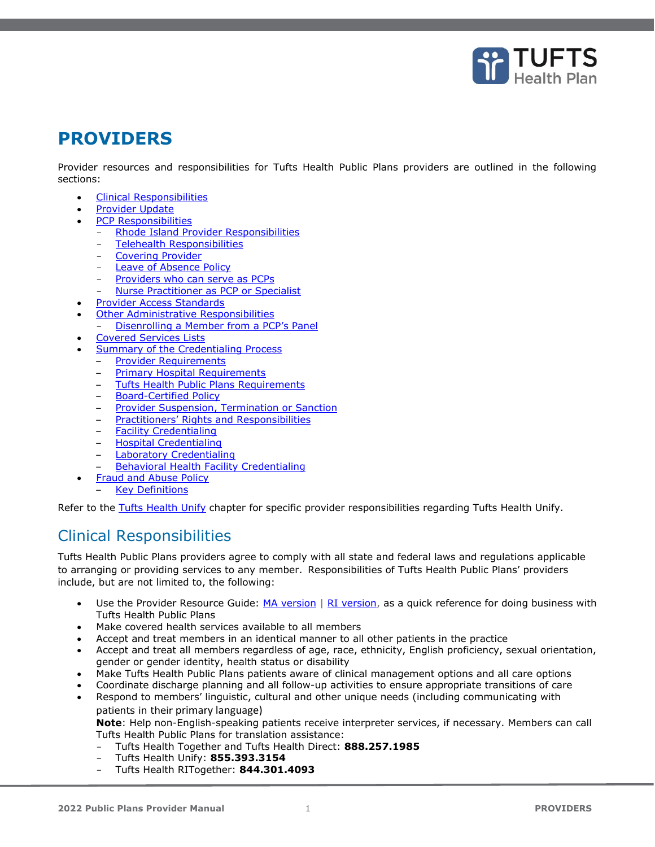

# **PROVIDERS**

Provider resources and responsibilities for Tufts Health Public Plans providers are outlined in the following sections:

- [Clinical Responsibilities](#page-0-0)
- [Provider Update](#page-1-0)
- [PCP Responsibilities](#page-2-0)
	- [Rhode Island Provider Responsibilities](#page-2-1)
	- [Telehealth Responsibilities](#page-2-2)
	- [Covering Provider](#page-3-0)
	- [Leave of Absence Policy](#page-3-1)
	- [Providers who can serve as PCPs](#page-4-0)
	- [Nurse Practitioner as PCP or Specialist](#page-4-1)
- [Provider Access Standards](#page-4-2)
- [Other Administrative Responsibilities](#page-5-0)
	- [Disenrolling a Member from a PCP's Panel](#page-6-0)
- [Covered Services Lists](#page-6-1)
	- **[Summary of the Credentialing Process](#page-6-2)**
	- [Provider Requirements](#page-6-3)
	- [Primary Hospital Requirements](#page-7-0)
	- [Tufts Health Public Plans Requirements](#page-7-1)
	- [Board-Certified Policy](#page-7-2)
	- [Provider Suspension, Termination or Sanction](#page-8-0)
	- [Practitioners' Rights and Responsibilities](#page-8-1)
	- [Facility Credentialing](#page-9-0)
	- [Hospital Credentialing](#page-10-0)
	- [Laboratory Credentialing](#page-10-1)
	- [Behavioral Health Facility Credentialing](#page-11-0)
	- [Fraud and Abuse Policy](#page-11-1)
		- **[Key Definitions](#page-11-2)**

Refer to the Tufts Health Unify chapter for specific provider responsibilities regarding Tufts Health Unify.

# <span id="page-0-0"></span>Clinical Responsibilities

Tufts Health Public Plans providers agree to comply with all state and federal laws and regulations applicable to arranging or providing services to any member. Responsibilities of Tufts Health Public Plans' providers include, but are not limited to, the following:

- Use the Provider Resource Guide:  $MA$  version | [RI version,](https://tuftshealthplan.com/documents/providers/guides/ri-provider-resource-guide) as a quick reference for doing business with Tufts Health Public Plans
- Make covered health services available to all members
- Accept and treat members in an identical manner to all other patients in the practice
- Accept and treat all members regardless of age, race, ethnicity, English proficiency, sexual orientation, gender or gender identity, health status or disability
- Make Tufts Health Public Plans patients aware of clinical management options and all care options
- Coordinate discharge planning and all follow-up activities to ensure appropriate transitions of care
- Respond to members' linguistic, cultural and other unique needs (including communicating with patients in their primary language)

**Note**: Help non-English-speaking patients receive interpreter services, if necessary. Members can call Tufts Health Public Plans for translation assistance:

- Tufts Health Together and Tufts Health Direct: **888.257.1985**
- Tufts Health Unify: **855.393.3154**
- Tufts Health RITogether: **844.301.4093**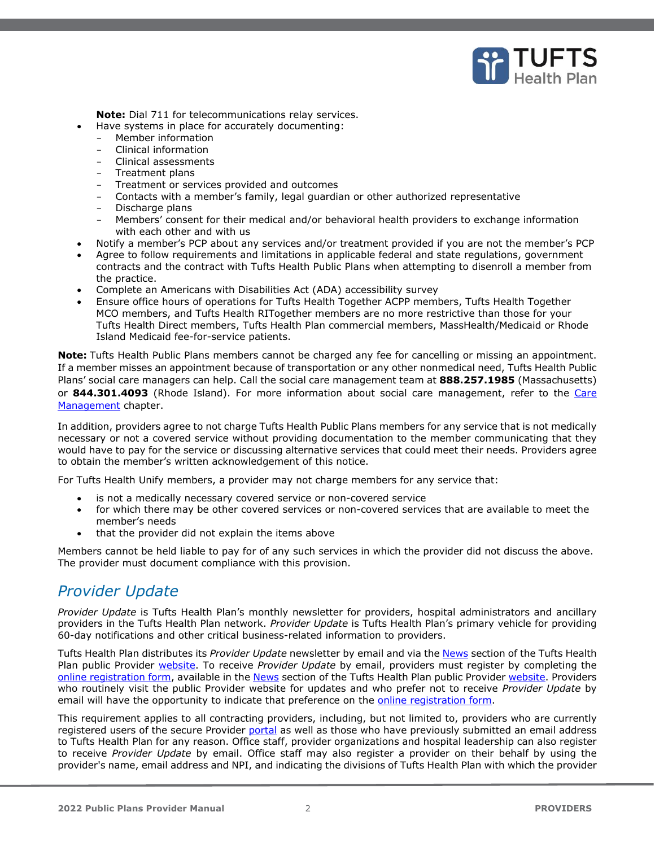

**Note:** Dial 711 for telecommunications relay services.

- Have systems in place for accurately documenting:
- Member information
	- Clinical information
	- Clinical assessments
	- Treatment plans
	- Treatment or services provided and outcomes
	- Contacts with a member's family, legal guardian or other authorized representative
- Discharge plans
- Members' consent for their medical and/or behavioral health providers to exchange information with each other and with us
- Notify a member's PCP about any services and/or treatment provided if you are not the member's PCP
- Agree to follow requirements and limitations in applicable federal and state regulations, government contracts and the contract with Tufts Health Public Plans when attempting to disenroll a member from the practice.
- Complete an Americans with Disabilities Act (ADA) accessibility survey
- Ensure office hours of operations for Tufts Health Together ACPP members, Tufts Health Together MCO members, and Tufts Health RITogether members are no more restrictive than those for your Tufts Health Direct members, Tufts Health Plan commercial members, MassHealth/Medicaid or Rhode Island Medicaid fee-for-service patients.

**Note:** Tufts Health Public Plans members cannot be charged any fee for cancelling or missing an appointment. If a member misses an appointment because of transportation or any other nonmedical need, Tufts Health Public Plans' social care managers can help. Call the social care management team at **888.257.1985** (Massachusetts) or **844.301.4093** (Rhode Island). For more information about social care management, refer to the Care Management chapter.

In addition, providers agree to not charge Tufts Health Public Plans members for any service that is not medically necessary or not a covered service without providing documentation to the member communicating that they would have to pay for the service or discussing alternative services that could meet their needs. Providers agree to obtain the member's written acknowledgement of this notice.

<span id="page-1-0"></span>For Tufts Health Unify members, a provider may not charge members for any service that:

- is not a medically necessary covered service or non-covered service
- for which there may be other covered services or non-covered services that are available to meet the member's needs
- that the provider did not explain the items above

Members cannot be held liable to pay for of any such services in which the provider did not discuss the above. The provider must document compliance with this provision.

# *Provider Update*

*Provider Update* is Tufts Health Plan's monthly newsletter for providers, hospital administrators and ancillary providers in the Tufts Health Plan network. *Provider Update* is Tufts Health Plan's primary vehicle for providing 60-day notifications and other critical business-related information to providers.

Tufts Health Plan distributes its *Provider Update* newsletter by email and via th[e News](https://tuftshealthplan.com/provider/provider-news/news-center) section of the Tufts Health Plan public Provider [website.](https://tuftshealthplan.com/provider/home) To receive *Provider Update* by email, providers must register by completing the [online registration form,](https://tuftshealthplan.com/provider/provider-email-capture) available in the [News](https://tuftshealthplan.com/provider/provider-news/news-center) section of the Tufts Health Plan public Provider [website.](https://tuftshealthplan.com/provider/home) Providers who routinely visit the public Provider website for updates and who prefer not to receive *Provider Update* by email will have the opportunity to indicate that preference on the [online registration form.](https://tuftshealthplan.com/provider/provider-email-capture)

This requirement applies to all contracting providers, including, but not limited to, providers who are currently registered users of the secure Provider [portal](https://providers.tufts-health.com/) as well as those who have previously submitted an email address to Tufts Health Plan for any reason. Office staff, provider organizations and hospital leadership can also register to receive *Provider Update* by email. Office staff may also register a provider on their behalf by using the provider's name, email address and NPI, and indicating the divisions of Tufts Health Plan with which the provider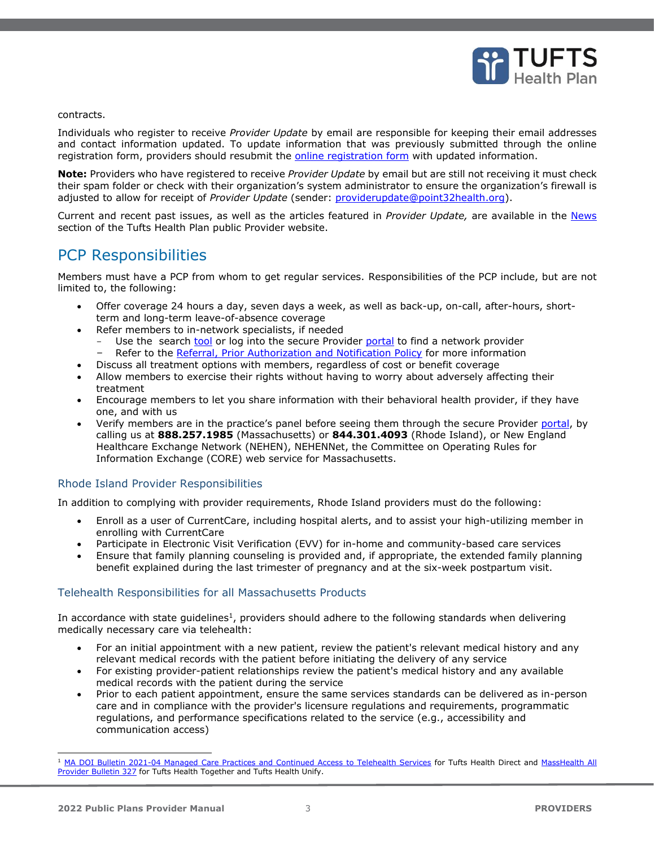

contracts.

Individuals who register to receive *Provider Update* by email are responsible for keeping their email addresses and contact information updated. To update information that was previously submitted through the online registration form, providers should resubmit the [online registration form](https://tuftshealthplan.com/provider/provider-email-capture) with updated information.

**Note:** Providers who have registered to receive *Provider Update* by email but are still not receiving it must check their spam folder or check with their organization's system administrator to ensure the organization's firewall is adjusted to allow for receipt of *Provider Update* (sender: [providerupdate@point32health.org\)](mailto:providerupdate@point32health.org).

Current and recent past issues, as well as the articles featured in *Provider Update,* are available in the [News](https://tuftshealthplan.com/provider/provider-news/news-center) section of the Tufts Health Plan public Provider website.

## <span id="page-2-0"></span>PCP Responsibilities

Members must have a PCP from whom to get regular services. Responsibilities of the PCP include, but are not limited to, the following:

- Offer coverage 24 hours a day, seven days a week, as well as back-up, on-call, after-hours, shortterm and long-term leave-of-absence coverage
- Refer members to in-network specialists, if needed
- Use the [search](https://tuftshealthplan.com/find-a-doctor) [tool](https://tuftshealthplan.com/find-a-doctor) or log into [the](https://thpprovider.healthtrioconnect.com/app/index.page?) secure Provider [portal](https://tuftshealthplan.com/login) to find a network provider Refer to the [Referral, Prior Authorization and Notification Policy](https://tuftshealthplan.com/documents/providers/payment-policies/authorization-policy) for more information
- Discuss all treatment options with members, regardless of cost or benefit coverage
- Allow members to exercise their rights without having to worry about adversely affecting their treatment
- Encourage members to let you share information with their behavioral health provider, if they have one, and with us
- Verify members are in the practice's panel before seeing them through the secure Provider [portal,](https://tuftshealthplan.com/login) by calling us at **888.257.1985** (Massachusetts) or **844.301.4093** (Rhode Island), or New England Healthcare Exchange Network (NEHEN), NEHENNet, the Committee on Operating Rules for Information Exchange (CORE) web service for Massachusetts.

#### <span id="page-2-1"></span>Rhode Island Provider Responsibilities

In addition to complying with provider requirements, Rhode Island providers must do the following:

- Enroll as a user of CurrentCare, including hospital alerts, and to assist your high-utilizing member in enrolling with CurrentCare
- Participate in Electronic Visit Verification (EVV) for in-home and community-based care services
- Ensure that family planning counseling is provided and, if appropriate, the extended family planning benefit explained during the last trimester of pregnancy and at the six-week postpartum visit.

#### <span id="page-2-2"></span>Telehealth Responsibilities for all Massachusetts Products

In accordance with state guidelines<sup>1</sup>, providers should adhere to the following standards when delivering medically necessary care via telehealth:

- For an initial appointment with a new patient, review the patient's relevant medical history and any relevant medical records with the patient before initiating the delivery of any service
- For existing provider-patient relationships review the patient's medical history and any available medical records with the patient during the service
- Prior to each patient appointment, ensure the same services standards can be delivered as in-person care and in compliance with the provider's licensure regulations and requirements, programmatic regulations, and performance specifications related to the service (e.g., accessibility and communication access)

[MA DOI Bulletin 2021-04 Managed Care Practices and Continued Access to Telehealth Services](https://www.mass.gov/doc/bulletin-2021-04-managed-care-practices-and-continued-access-to-telehealth-services-issued-april-9-2021/download) for Tufts Health Direct and MassHealth All [Provider Bulletin 327](https://www.mass.gov/doc/all-provider-bulletin-327-access-to-health-services-through-telehealth-options-corrected-0/download) for Tufts Health Together and Tufts Health Unify.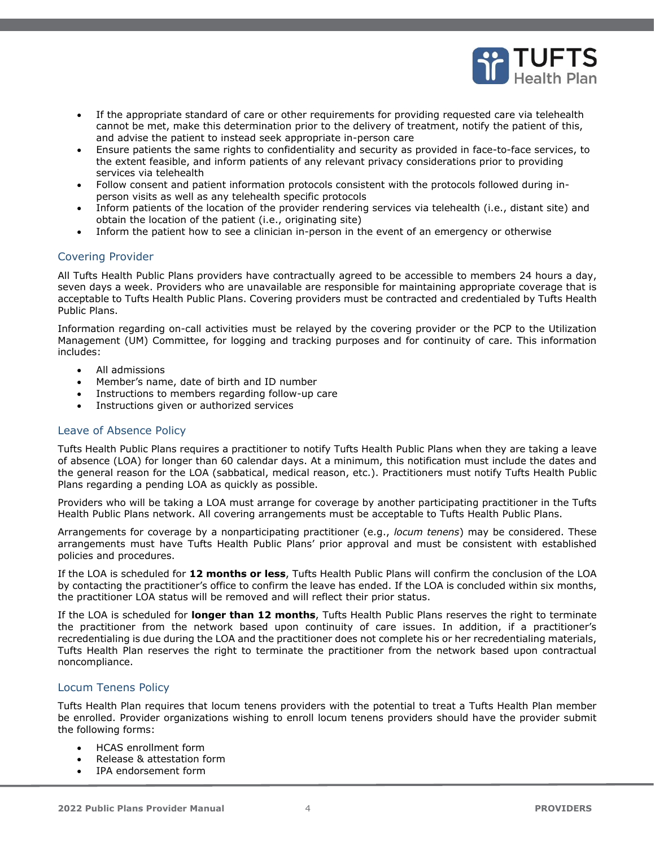

- If the appropriate standard of care or other requirements for providing requested care via telehealth cannot be met, make this determination prior to the delivery of treatment, notify the patient of this, and advise the patient to instead seek appropriate in-person care
- Ensure patients the same rights to confidentiality and security as provided in face-to-face services, to the extent feasible, and inform patients of any relevant privacy considerations prior to providing services via telehealth
- Follow consent and patient information protocols consistent with the protocols followed during inperson visits as well as any telehealth specific protocols
- Inform patients of the location of the provider rendering services via telehealth (i.e., distant site) and obtain the location of the patient (i.e., originating site)
- Inform the patient how to see a clinician in-person in the event of an emergency or otherwise

### <span id="page-3-0"></span>Covering Provider

All Tufts Health Public Plans providers have contractually agreed to be accessible to members 24 hours a day, seven days a week. Providers who are unavailable are responsible for maintaining appropriate coverage that is acceptable to Tufts Health Public Plans. Covering providers must be contracted and credentialed by Tufts Health Public Plans.

Information regarding on-call activities must be relayed by the covering provider or the PCP to the Utilization Management (UM) Committee, for logging and tracking purposes and for continuity of care. This information includes:

- All admissions
- Member's name, date of birth and ID number
- Instructions to members regarding follow-up care
- Instructions given or authorized services

#### <span id="page-3-1"></span>Leave of Absence Policy

Tufts Health Public Plans requires a practitioner to notify Tufts Health Public Plans when they are taking a leave of absence (LOA) for longer than 60 calendar days. At a minimum, this notification must include the dates and the general reason for the LOA (sabbatical, medical reason, etc.). Practitioners must notify Tufts Health Public Plans regarding a pending LOA as quickly as possible.

Providers who will be taking a LOA must arrange for coverage by another participating practitioner in the Tufts Health Public Plans network. All covering arrangements must be acceptable to Tufts Health Public Plans.

Arrangements for coverage by a nonparticipating practitioner (e.g., *locum tenens*) may be considered. These arrangements must have Tufts Health Public Plans' prior approval and must be consistent with established policies and procedures.

If the LOA is scheduled for **12 months or less**, Tufts Health Public Plans will confirm the conclusion of the LOA by contacting the practitioner's office to confirm the leave has ended. If the LOA is concluded within six months, the practitioner LOA status will be removed and will reflect their prior status.

If the LOA is scheduled for **longer than 12 months**, Tufts Health Public Plans reserves the right to terminate the practitioner from the network based upon continuity of care issues. In addition, if a practitioner's recredentialing is due during the LOA and the practitioner does not complete his or her recredentialing materials, Tufts Health Plan reserves the right to terminate the practitioner from the network based upon contractual noncompliance.

#### Locum Tenens Policy

Tufts Health Plan requires that locum tenens providers with the potential to treat a Tufts Health Plan member be enrolled. Provider organizations wishing to enroll locum tenens providers should have the provider submit the following forms:

- HCAS enrollment form
- Release & attestation form
- IPA endorsement form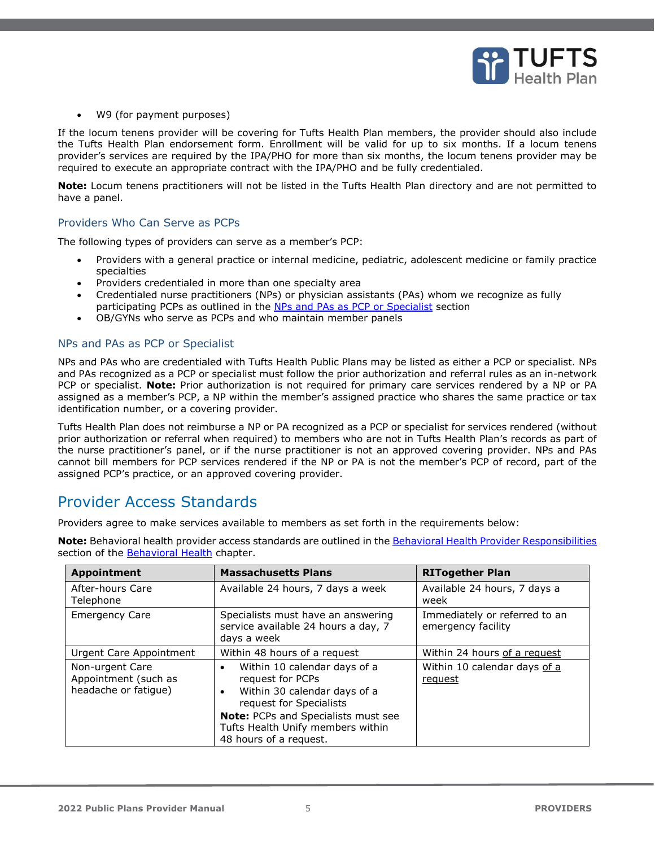

• W9 (for payment purposes)

If the locum tenens provider will be covering for Tufts Health Plan members, the provider should also include the Tufts Health Plan endorsement form. Enrollment will be valid for up to six months. If a locum tenens provider's services are required by the IPA/PHO for more than six months, the locum tenens provider may be required to execute an appropriate contract with the IPA/PHO and be fully credentialed.

<span id="page-4-0"></span>**Note:** Locum tenens practitioners will not be listed in the Tufts Health Plan directory and are not permitted to have a panel.

### Providers Who Can Serve as PCPs

The following types of providers can serve as a member's PCP:

- Providers with a general practice or internal medicine, pediatric, adolescent medicine or family practice specialties
- Providers credentialed in more than one specialty area
- Credentialed nurse practitioners (NPs) or physician assistants (PAs) whom we recognize as fully participating PCPs as outlined in the NPs and PAs as [PCP or Specialist](#page-4-1) section
- OB/GYNs who serve as PCPs and who maintain member panels

#### <span id="page-4-1"></span>NPs and PAs as PCP or Specialist

NPs and PAs who are credentialed with Tufts Health Public Plans may be listed as either a PCP or specialist. NPs and PAs recognized as a PCP or specialist must follow the prior authorization and referral rules as an in-network PCP or specialist. **Note:** Prior authorization is not required for primary care services rendered by a NP or PA assigned as a member's PCP, a NP within the member's assigned practice who shares the same practice or tax identification number, or a covering provider.

Tufts Health Plan does not reimburse a NP or PA recognized as a PCP or specialist for services rendered (without prior authorization or referral when required) to members who are not in Tufts Health Plan's records as part of the nurse practitioner's panel, or if the nurse practitioner is not an approved covering provider. NPs and PAs cannot bill members for PCP services rendered if the NP or PA is not the member's PCP of record, part of the assigned PCP's practice, or an approved covering provider.

### <span id="page-4-2"></span>Provider Access Standards

Providers agree to make services available to members as set forth in the requirements below:

| <b>Appointment</b>                                              | <b>Massachusetts Plans</b>                                                                                                                                                                                                                  | <b>RITogether Plan</b>                              |
|-----------------------------------------------------------------|---------------------------------------------------------------------------------------------------------------------------------------------------------------------------------------------------------------------------------------------|-----------------------------------------------------|
| After-hours Care<br>Telephone                                   | Available 24 hours, 7 days a week                                                                                                                                                                                                           | Available 24 hours, 7 days a<br>week                |
| <b>Emergency Care</b>                                           | Specialists must have an answering<br>service available 24 hours a day, 7<br>days a week                                                                                                                                                    | Immediately or referred to an<br>emergency facility |
| Urgent Care Appointment                                         | Within 48 hours of a request                                                                                                                                                                                                                | Within 24 hours of a reguest                        |
| Non-urgent Care<br>Appointment (such as<br>headache or fatigue) | Within 10 calendar days of a<br>$\bullet$<br>request for PCPs<br>Within 30 calendar days of a<br>$\bullet$<br>request for Specialists<br>Note: PCPs and Specialists must see<br>Tufts Health Unify members within<br>48 hours of a request. | Within 10 calendar days of a<br>request             |

**Note:** Behavioral health provider access standards are outlined in the [Behavioral Health Provider Responsibilities](https://tuftshealthplan.com/documents/providers/provider-manuals/thpp-08-bh#%5B%7B%22num%22%3A3%2C%22gen%22%3A0%7D%2C%7B%22name%22%3A%22XYZ%22%7D%2C51%2C298%2C0%5D) section of the **Behavioral Health** chapter.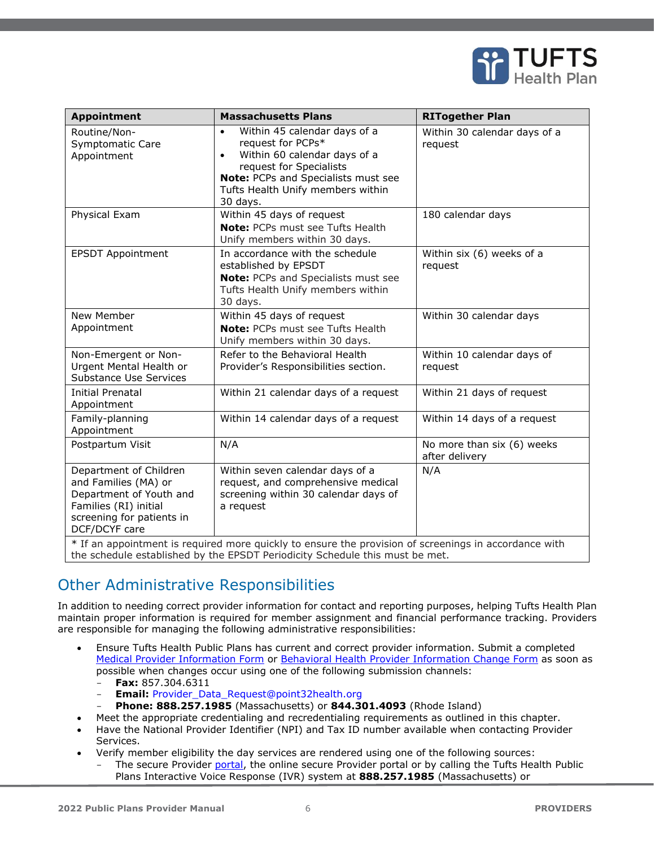

| <b>Appointment</b>                                                                                                                                                                    | <b>Massachusetts Plans</b>                                                                                                                                                                                                     | <b>RITogether Plan</b>                       |  |
|---------------------------------------------------------------------------------------------------------------------------------------------------------------------------------------|--------------------------------------------------------------------------------------------------------------------------------------------------------------------------------------------------------------------------------|----------------------------------------------|--|
| Routine/Non-<br>Symptomatic Care<br>Appointment                                                                                                                                       | Within 45 calendar days of a<br>$\bullet$<br>request for PCPs*<br>Within 60 calendar days of a<br>$\bullet$<br>request for Specialists<br>Note: PCPs and Specialists must see<br>Tufts Health Unify members within<br>30 days. | Within 30 calendar days of a<br>request      |  |
| Physical Exam                                                                                                                                                                         | Within 45 days of request<br><b>Note: PCPs must see Tufts Health</b><br>Unify members within 30 days.                                                                                                                          | 180 calendar days                            |  |
| <b>EPSDT Appointment</b>                                                                                                                                                              | In accordance with the schedule<br>established by EPSDT<br>Note: PCPs and Specialists must see<br>Tufts Health Unify members within<br>30 days.                                                                                | Within six (6) weeks of a<br>request         |  |
| New Member<br>Appointment                                                                                                                                                             | Within 45 days of request<br>Note: PCPs must see Tufts Health<br>Unify members within 30 days.                                                                                                                                 | Within 30 calendar days                      |  |
| Non-Emergent or Non-<br>Urgent Mental Health or<br><b>Substance Use Services</b>                                                                                                      | Refer to the Behavioral Health<br>Provider's Responsibilities section.                                                                                                                                                         | Within 10 calendar days of<br>request        |  |
| Initial Prenatal<br>Appointment                                                                                                                                                       | Within 21 calendar days of a request                                                                                                                                                                                           | Within 21 days of request                    |  |
| Family-planning<br>Appointment                                                                                                                                                        | Within 14 calendar days of a request                                                                                                                                                                                           | Within 14 days of a request                  |  |
| Postpartum Visit                                                                                                                                                                      | N/A                                                                                                                                                                                                                            | No more than six (6) weeks<br>after delivery |  |
| Department of Children<br>and Families (MA) or<br>Department of Youth and<br>Families (RI) initial<br>screening for patients in<br>DCF/DCYF care                                      | Within seven calendar days of a<br>request, and comprehensive medical<br>screening within 30 calendar days of<br>a request                                                                                                     | N/A                                          |  |
| * If an appointment is required more quickly to ensure the provision of screenings in accordance with<br>the schedule established by the EPSDT Periodicity Schedule this must be met. |                                                                                                                                                                                                                                |                                              |  |

# <span id="page-5-0"></span>Other Administrative Responsibilities

In addition to needing correct provider information for contact and reporting purposes, helping Tufts Health Plan maintain proper information is required for member assignment and financial performance tracking. Providers are responsible for managing the following administrative responsibilities:

- Ensure Tufts Health Public Plans has current and correct provider information. Submit a completed [Medical Provider Information Form](https://tuftshealthplan.com/documents/providers/forms/thpp_provider-information-form-medical-provi) or [Behavioral Health Provider Information Change Form](http://tuftshealthplan.com/documents/providers/forms/thpp_provider-information-form-behavioral-he) as soon as possible when changes occur using one of the following submission channels:
	- **Fax:** 857.304.6311
	- **Email:** Provider\_Data\_Request@point32health.org
	- **Phone: 888.257.1985** (Massachusetts) or **844.301.4093** (Rhode Island)
	- Meet the appropriate credentialing and recredentialing requirements as outlined in this chapter.
- Have the National Provider Identifier (NPI) and Tax ID number available when contacting Provider Services.
- Verify member eligibility the day services are rendered using one of the following sources:
	- The secure Provider [portal,](https://tuftshealthplan.com/login) the online secure Provider portal or by calling the Tufts Health Public Plans Interactive Voice Response (IVR) system at **888.257.1985** (Massachusetts) or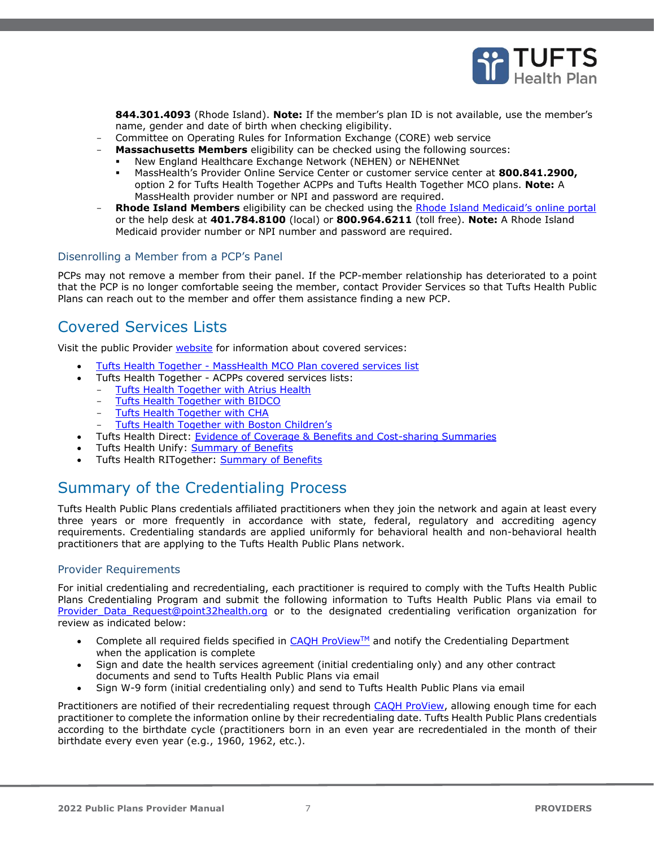

**844.301.4093** (Rhode Island). **Note:** If the member's plan ID is not available, use the member's name, gender and date of birth when checking eligibility.

- Committee on Operating Rules for Information Exchange (CORE) web service
- **Massachusetts Members** eligibility can be checked using the following sources:
	- New England Healthcare Exchange Network (NEHEN) or NEHENNet
	- MassHealth's Provider Online Service Center or customer service center at **800.841.2900,**  option 2 for Tufts Health Together ACPPs and Tufts Health Together MCO plans. **Note:** A MassHealth provider number or NPI and password are required.
- **Rhode Island Members** eligibility can be checked using the [Rhode Island Medicaid's online portal](https://www.riproviderportal.org/HCP/Default.aspx?alias=www.riproviderportal.org/hcp/provider) or the help desk at **401.784.8100** (local) or **800.964.6211** (toll free). **Note:** A Rhode Island Medicaid provider number or NPI number and password are required.

### <span id="page-6-0"></span>Disenrolling a Member from a PCP's Panel

PCPs may not remove a member from their panel. If the PCP-member relationship has deteriorated to a point that the PCP is no longer comfortable seeing the member, contact Provider Services so that Tufts Health Public Plans can reach out to the member and offer them assistance finding a new PCP.

## <span id="page-6-1"></span>Covered Services Lists

Visit the public Provider [website](https://tuftshealthplan.com/provider) for information about covered services:

- [Tufts Health Together](https://tuftshealthplan.com/documents/members/handbooks/together-covered-services-list-2018) MassHealth MCO Plan covered services list
- Tufts Health Together ACPPs covered services lists:
	- [Tufts Health Together with Atrius Health](https://tuftshealthplan.com/documents/microsites/tufts-health-together-with-atrius-health/tufts-health-together-with-atrius-health-eng-cover)
	- [Tufts Health Together with BIDCO](https://tuftshealthplan.com/documents/microsites/tufts-health-together-with-bidco/tufts-health-together-with-bidco-eng-covered-servi)
	- [Tufts Health Together with CHA](https://tuftshealthplan.com/documents/microsites/tufts-health-together-with-cha/tufts-health-together-with-cha-eng-covered-servic)
	- [Tufts Health Together with Boston Children's](https://tuftshealthplan.com/documents/microsites/tufts-health-together-with-boston-children-s/tufts-health-together-with-boston-childrens-eng-c)
- Tufts Health Direct: [Evidence of Coverage & Benefits and Cost-sharing Summaries](https://tuftshealthplan.com/member/tufts-health-direct-plans/benefits-costs/your-costs/costs-by-plan-level)
- Tufts Health Unify: **[Summary of Benefits](https://tuftshealthplan.com/provider/resource-center/resource-center#?d=c32f08&c=4d2a36|15cb4a)**
- Tufts Health RITogether: [Summary of Benefits](https://tuftshealthplan.com/provider/resource-center/resource-center#?d=845238&c=4d2a36|15cb4a)

# <span id="page-6-2"></span>Summary of the Credentialing Process

Tufts Health Public Plans credentials affiliated practitioners when they join the network and again at least every three years or more frequently in accordance with state, federal, regulatory and accrediting agency requirements. Credentialing standards are applied uniformly for behavioral health and non-behavioral health practitioners that are applying to the Tufts Health Public Plans network.

#### <span id="page-6-3"></span>Provider Requirements

For initial credentialing and recredentialing, each practitioner is required to comply with the Tufts Health Public Plans Credentialing Program and submit the following information to Tufts Health Public Plans via email to [Provider\\_Data\\_Request@point32health.org](mailto:Provider_Data_Request@point32health.org) or to the designated credentialing verification organization for review as indicated below:

- Complete all required fields specified in [CAQH ProView](https://proview.caqh.org/)™ and notify the Credentialing Department when the application is complete
- Sign and date the health services agreement (initial credentialing only) and any other contract documents and send to Tufts Health Public Plans via email
- Sign W-9 form (initial credentialing only) and send to Tufts Health Public Plans via email

Practitioners are notified of their recredentialing request through [CAQH ProView,](https://proview.caqh.org/) allowing enough time for each practitioner to complete the information online by their recredentialing date. Tufts Health Public Plans credentials according to the birthdate cycle (practitioners born in an even year are recredentialed in the month of their birthdate every even year (e.g., 1960, 1962, etc.).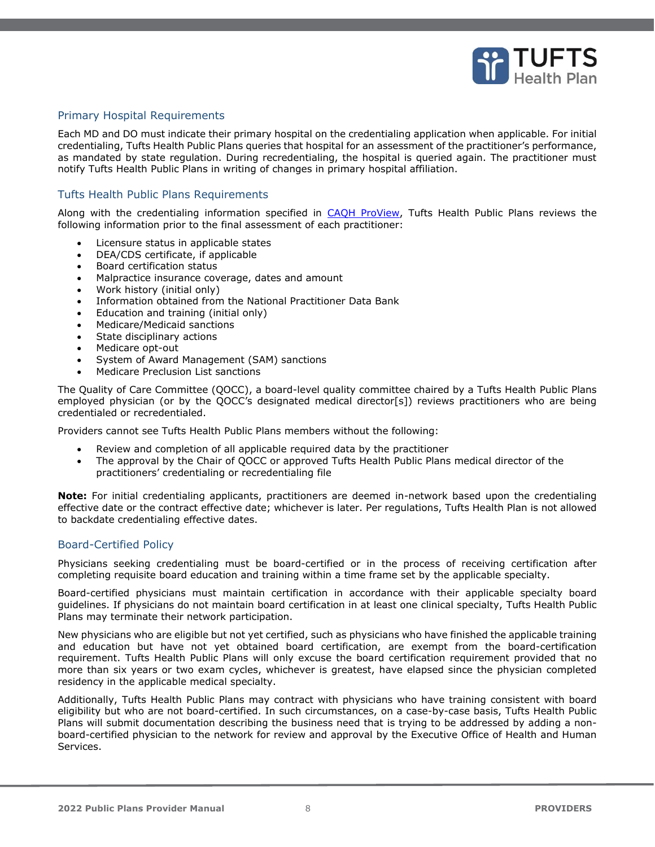

### <span id="page-7-0"></span>Primary Hospital Requirements

Each MD and DO must indicate their primary hospital on the credentialing application when applicable. For initial credentialing, Tufts Health Public Plans queries that hospital for an assessment of the practitioner's performance, as mandated by state regulation. During recredentialing, the hospital is queried again. The practitioner must notify Tufts Health Public Plans in writing of changes in primary hospital affiliation.

### <span id="page-7-1"></span>Tufts Health Public Plans Requirements

Along with the credentialing information specified in [CAQH ProView,](https://proview.caqh.org/) Tufts Health Public Plans reviews the following information prior to the final assessment of each practitioner:

- Licensure status in applicable states
- DEA/CDS certificate, if applicable
- Board certification status
- Malpractice insurance coverage, dates and amount
- Work history (initial only)
- Information obtained from the National Practitioner Data Bank
- Education and training (initial only)
- Medicare/Medicaid sanctions
- State disciplinary actions
- Medicare opt-out
- System of Award Management (SAM) sanctions
- Medicare Preclusion List sanctions

The Quality of Care Committee (QOCC), a board-level quality committee chaired by a Tufts Health Public Plans employed physician (or by the QOCC's designated medical director[s]) reviews practitioners who are being credentialed or recredentialed.

Providers cannot see Tufts Health Public Plans members without the following:

- Review and completion of all applicable required data by the practitioner
- The approval by the Chair of QOCC or approved Tufts Health Public Plans medical director of the practitioners' credentialing or recredentialing file

**Note:** For initial credentialing applicants, practitioners are deemed in-network based upon the credentialing effective date or the contract effective date; whichever is later. Per regulations, Tufts Health Plan is not allowed to backdate credentialing effective dates.

#### <span id="page-7-2"></span>Board-Certified Policy

Physicians seeking credentialing must be board-certified or in the process of receiving certification after completing requisite board education and training within a time frame set by the applicable specialty.

Board-certified physicians must maintain certification in accordance with their applicable specialty board guidelines. If physicians do not maintain board certification in at least one clinical specialty, Tufts Health Public Plans may terminate their network participation.

New physicians who are eligible but not yet certified, such as physicians who have finished the applicable training and education but have not yet obtained board certification, are exempt from the board-certification requirement. Tufts Health Public Plans will only excuse the board certification requirement provided that no more than six years or two exam cycles, whichever is greatest, have elapsed since the physician completed residency in the applicable medical specialty.

Additionally, Tufts Health Public Plans may contract with physicians who have training consistent with board eligibility but who are not board-certified. In such circumstances, on a case-by-case basis, Tufts Health Public Plans will submit documentation describing the business need that is trying to be addressed by adding a nonboard-certified physician to the network for review and approval by the Executive Office of Health and Human Services.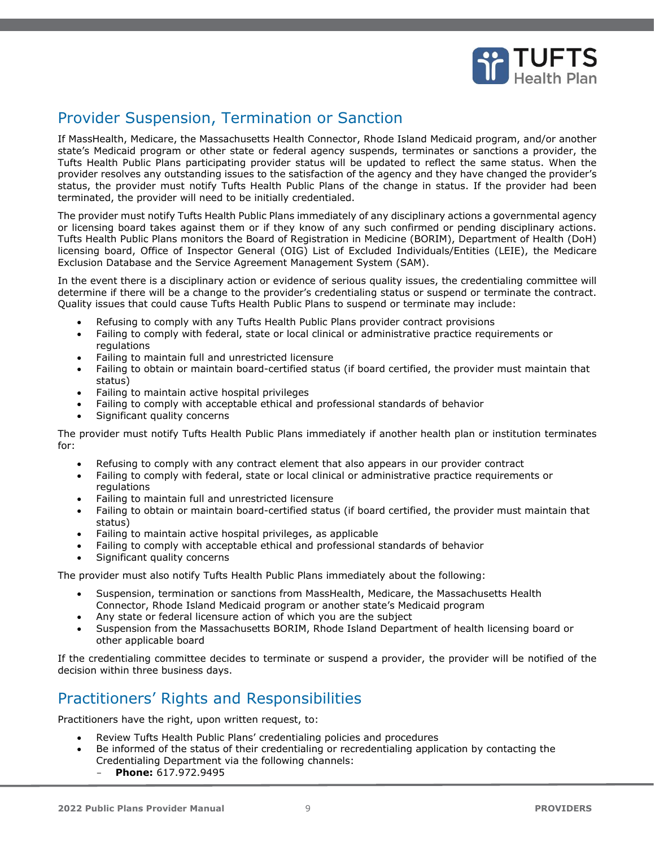

# <span id="page-8-0"></span>Provider Suspension, Termination or Sanction

If MassHealth, Medicare, the Massachusetts Health Connector, Rhode Island Medicaid program, and/or another state's Medicaid program or other state or federal agency suspends, terminates or sanctions a provider, the Tufts Health Public Plans participating provider status will be updated to reflect the same status. When the provider resolves any outstanding issues to the satisfaction of the agency and they have changed the provider's status, the provider must notify Tufts Health Public Plans of the change in status. If the provider had been terminated, the provider will need to be initially credentialed.

The provider must notify Tufts Health Public Plans immediately of any disciplinary actions a governmental agency or licensing board takes against them or if they know of any such confirmed or pending disciplinary actions. Tufts Health Public Plans monitors the Board of Registration in Medicine (BORIM), Department of Health (DoH) licensing board, Office of Inspector General (OIG) List of Excluded Individuals/Entities (LEIE), the Medicare Exclusion Database and the Service Agreement Management System (SAM).

In the event there is a disciplinary action or evidence of serious quality issues, the credentialing committee will determine if there will be a change to the provider's credentialing status or suspend or terminate the contract. Quality issues that could cause Tufts Health Public Plans to suspend or terminate may include:

- Refusing to comply with any Tufts Health Public Plans provider contract provisions
- Failing to comply with federal, state or local clinical or administrative practice requirements or regulations
- Failing to maintain full and unrestricted licensure
- Failing to obtain or maintain board-certified status (if board certified, the provider must maintain that status)
- Failing to maintain active hospital privileges
- Failing to comply with acceptable ethical and professional standards of behavior
- Significant quality concerns

The provider must notify Tufts Health Public Plans immediately if another health plan or institution terminates for:

- Refusing to comply with any contract element that also appears in our provider contract
- Failing to comply with federal, state or local clinical or administrative practice requirements or regulations
- Failing to maintain full and unrestricted licensure
- Failing to obtain or maintain board-certified status (if board certified, the provider must maintain that status)
- Failing to maintain active hospital privileges, as applicable
- Failing to comply with acceptable ethical and professional standards of behavior
- Significant quality concerns

The provider must also notify Tufts Health Public Plans immediately about the following:

- Suspension, termination or sanctions from MassHealth, Medicare, the Massachusetts Health Connector, Rhode Island Medicaid program or another state's Medicaid program
- Any state or federal licensure action of which you are the subject
- Suspension from the Massachusetts BORIM, Rhode Island Department of health licensing board or other applicable board

If the credentialing committee decides to terminate or suspend a provider, the provider will be notified of the decision within three business days.

# <span id="page-8-1"></span>Practitioners' Rights and Responsibilities

Practitioners have the right, upon written request, to:

- Review Tufts Health Public Plans' credentialing policies and procedures
- Be informed of the status of their credentialing or recredentialing application by contacting the Credentialing Department via the following channels:
	- **Phone:** 617.972.9495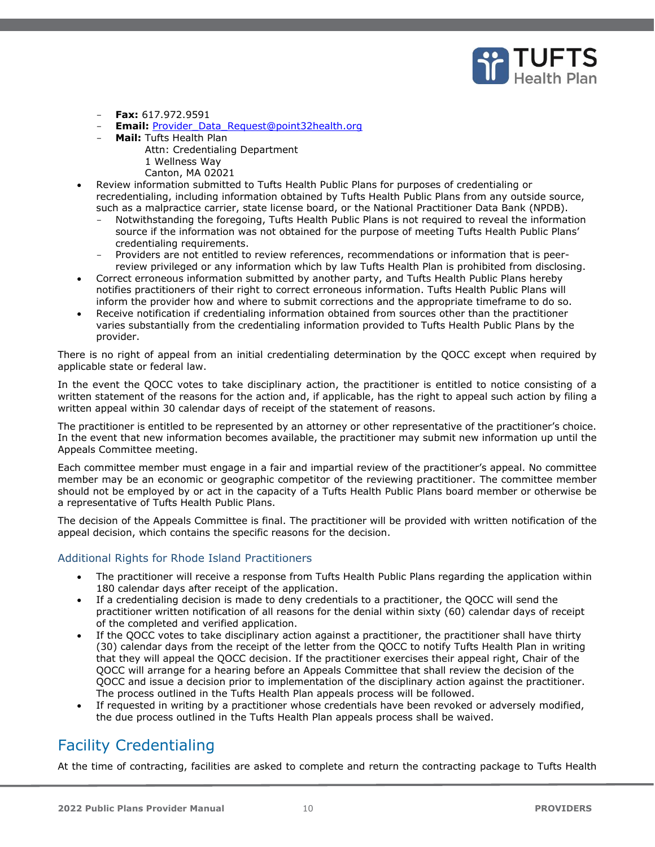

- **Fax:** 617.972.9591
- Email: [Provider\\_Data\\_Request@point32health.org](mailto:Provider_Data_Request@point32health.org)
- **Mail:** Tufts Health Plan
	- Attn: Credentialing Department
	- 1 Wellness Way
	- Canton, MA 02021
- Review information submitted to Tufts Health Public Plans for purposes of credentialing or recredentialing, including information obtained by Tufts Health Public Plans from any outside source, such as a malpractice carrier, state license board, or the National Practitioner Data Bank (NPDB).
	- Notwithstanding the foregoing, Tufts Health Public Plans is not required to reveal the information source if the information was not obtained for the purpose of meeting Tufts Health Public Plans' credentialing requirements.
	- Providers are not entitled to review references, recommendations or information that is peerreview privileged or any information which by law Tufts Health Plan is prohibited from disclosing.
- Correct erroneous information submitted by another party, and Tufts Health Public Plans hereby notifies practitioners of their right to correct erroneous information. Tufts Health Public Plans will inform the provider how and where to submit corrections and the appropriate timeframe to do so.
- Receive notification if credentialing information obtained from sources other than the practitioner varies substantially from the credentialing information provided to Tufts Health Public Plans by the provider.

There is no right of appeal from an initial credentialing determination by the QOCC except when required by applicable state or federal law.

In the event the QOCC votes to take disciplinary action, the practitioner is entitled to notice consisting of a written statement of the reasons for the action and, if applicable, has the right to appeal such action by filing a written appeal within 30 calendar days of receipt of the statement of reasons.

The practitioner is entitled to be represented by an attorney or other representative of the practitioner's choice. In the event that new information becomes available, the practitioner may submit new information up until the Appeals Committee meeting.

Each committee member must engage in a fair and impartial review of the practitioner's appeal. No committee member may be an economic or geographic competitor of the reviewing practitioner. The committee member should not be employed by or act in the capacity of a Tufts Health Public Plans board member or otherwise be a representative of Tufts Health Public Plans.

The decision of the Appeals Committee is final. The practitioner will be provided with written notification of the appeal decision, which contains the specific reasons for the decision.

### Additional Rights for Rhode Island Practitioners

- The practitioner will receive a response from Tufts Health Public Plans regarding the application within 180 calendar days after receipt of the application.
- If a credentialing decision is made to deny credentials to a practitioner, the QOCC will send the practitioner written notification of all reasons for the denial within sixty (60) calendar days of receipt of the completed and verified application.
- If the QOCC votes to take disciplinary action against a practitioner, the practitioner shall have thirty (30) calendar days from the receipt of the letter from the QOCC to notify Tufts Health Plan in writing that they will appeal the QOCC decision. If the practitioner exercises their appeal right, Chair of the QOCC will arrange for a hearing before an Appeals Committee that shall review the decision of the QOCC and issue a decision prior to implementation of the disciplinary action against the practitioner. The process outlined in the Tufts Health Plan appeals process will be followed.
- If requested in writing by a practitioner whose credentials have been revoked or adversely modified, the due process outlined in the Tufts Health Plan appeals process shall be waived.

# <span id="page-9-0"></span>Facility Credentialing

At the time of contracting, facilities are asked to complete and return the contracting package to Tufts Health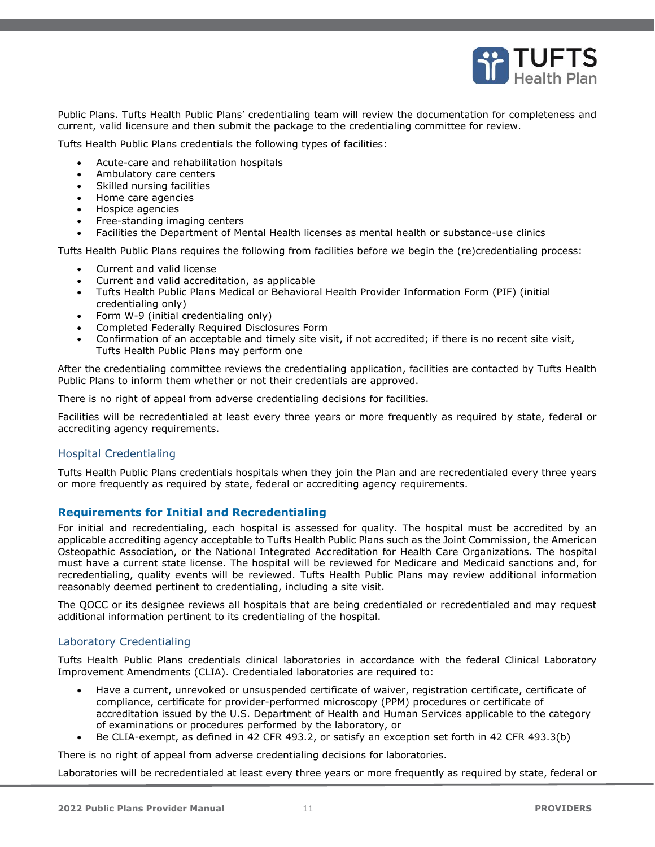

Public Plans. Tufts Health Public Plans' credentialing team will review the documentation for completeness and current, valid licensure and then submit the package to the credentialing committee for review.

Tufts Health Public Plans credentials the following types of facilities:

- Acute-care and rehabilitation hospitals
- Ambulatory care centers
- Skilled nursing facilities
- Home care agencies
- Hospice agencies
- Free-standing imaging centers
- Facilities the Department of Mental Health licenses as mental health or substance-use clinics

Tufts Health Public Plans requires the following from facilities before we begin the (re)credentialing process:

- Current and valid license
- Current and valid accreditation, as applicable
- Tufts Health Public Plans Medical or Behavioral Health Provider Information Form (PIF) (initial credentialing only)
- Form W-9 (initial credentialing only)
- Completed Federally Required Disclosures Form
- Confirmation of an acceptable and timely site visit, if not accredited; if there is no recent site visit, Tufts Health Public Plans may perform one

After the credentialing committee reviews the credentialing application, facilities are contacted by Tufts Health Public Plans to inform them whether or not their credentials are approved.

There is no right of appeal from adverse credentialing decisions for facilities.

Facilities will be recredentialed at least every three years or more frequently as required by state, federal or accrediting agency requirements.

#### <span id="page-10-0"></span>Hospital Credentialing

Tufts Health Public Plans credentials hospitals when they join the Plan and are recredentialed every three years or more frequently as required by state, federal or accrediting agency requirements.

#### **Requirements for Initial and Recredentialing**

For initial and recredentialing, each hospital is assessed for quality. The hospital must be accredited by an applicable accrediting agency acceptable to Tufts Health Public Plans such as the Joint Commission, the American Osteopathic Association, or the National Integrated Accreditation for Health Care Organizations. The hospital must have a current state license. The hospital will be reviewed for Medicare and Medicaid sanctions and, for recredentialing, quality events will be reviewed. Tufts Health Public Plans may review additional information reasonably deemed pertinent to credentialing, including a site visit.

The QOCC or its designee reviews all hospitals that are being credentialed or recredentialed and may request additional information pertinent to its credentialing of the hospital.

#### <span id="page-10-1"></span>Laboratory Credentialing

Tufts Health Public Plans credentials clinical laboratories in accordance with the federal Clinical Laboratory Improvement Amendments (CLIA). Credentialed laboratories are required to:

- Have a current, unrevoked or unsuspended certificate of waiver, registration certificate, certificate of compliance, certificate for provider-performed microscopy (PPM) procedures or certificate of accreditation issued by the U.S. Department of Health and Human Services applicable to the category of examinations or procedures performed by the laboratory, or
- Be CLIA-exempt, as defined in 42 CFR 493.2, or satisfy an exception set forth in 42 CFR 493.3(b)

There is no right of appeal from adverse credentialing decisions for laboratories.

Laboratories will be recredentialed at least every three years or more frequently as required by state, federal or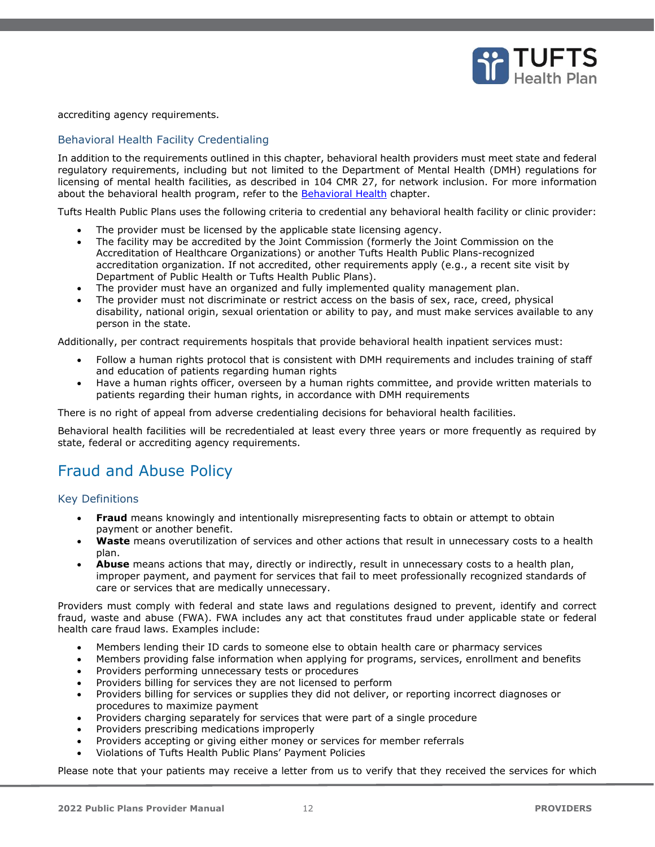

accrediting agency requirements.

#### <span id="page-11-0"></span>Behavioral Health Facility Credentialing

In addition to the requirements outlined in this chapter, behavioral health providers must meet state and federal regulatory requirements, including but not limited to the Department of Mental Health (DMH) regulations for licensing of mental health facilities, as described in 104 CMR 27, for network inclusion. For more information about the behavioral health program, refer to the Behavioral Health chapter.

Tufts Health Public Plans uses the following criteria to credential any behavioral health facility or clinic provider:

- The provider must be licensed by the applicable state licensing agency.
- The facility may be accredited by the Joint Commission (formerly the Joint Commission on the Accreditation of Healthcare Organizations) or another Tufts Health Public Plans-recognized accreditation organization. If not accredited, other requirements apply (e.g., a recent site visit by Department of Public Health or Tufts Health Public Plans).
- The provider must have an organized and fully implemented quality management plan.
- The provider must not discriminate or restrict access on the basis of sex, race, creed, physical disability, national origin, sexual orientation or ability to pay, and must make services available to any person in the state.

Additionally, per contract requirements hospitals that provide behavioral health inpatient services must:

- Follow a human rights protocol that is consistent with DMH requirements and includes training of staff and education of patients regarding human rights
- Have a human rights officer, overseen by a human rights committee, and provide written materials to patients regarding their human rights, in accordance with DMH requirements

There is no right of appeal from adverse credentialing decisions for behavioral health facilities.

Behavioral health facilities will be recredentialed at least every three years or more frequently as required by state, federal or accrediting agency requirements.

### <span id="page-11-1"></span>Fraud and Abuse Policy

#### <span id="page-11-2"></span>Key Definitions

- **Fraud** means knowingly and intentionally misrepresenting facts to obtain or attempt to obtain payment or another benefit.
- **Waste** means overutilization of services and other actions that result in unnecessary costs to a health plan.
- **Abuse** means actions that may, directly or indirectly, result in unnecessary costs to a health plan, improper payment, and payment for services that fail to meet professionally recognized standards of care or services that are medically unnecessary.

Providers must comply with federal and state laws and regulations designed to prevent, identify and correct fraud, waste and abuse (FWA). FWA includes any act that constitutes fraud under applicable state or federal health care fraud laws. Examples include:

- Members lending their ID cards to someone else to obtain health care or pharmacy services
- Members providing false information when applying for programs, services, enrollment and benefits
- Providers performing unnecessary tests or procedures
- Providers billing for services they are not licensed to perform
- Providers billing for services or supplies they did not deliver, or reporting incorrect diagnoses or procedures to maximize payment
- Providers charging separately for services that were part of a single procedure
- Providers prescribing medications improperly
- Providers accepting or giving either money or services for member referrals
- Violations of Tufts Health Public Plans' Payment Policies

Please note that your patients may receive a letter from us to verify that they received the services for which